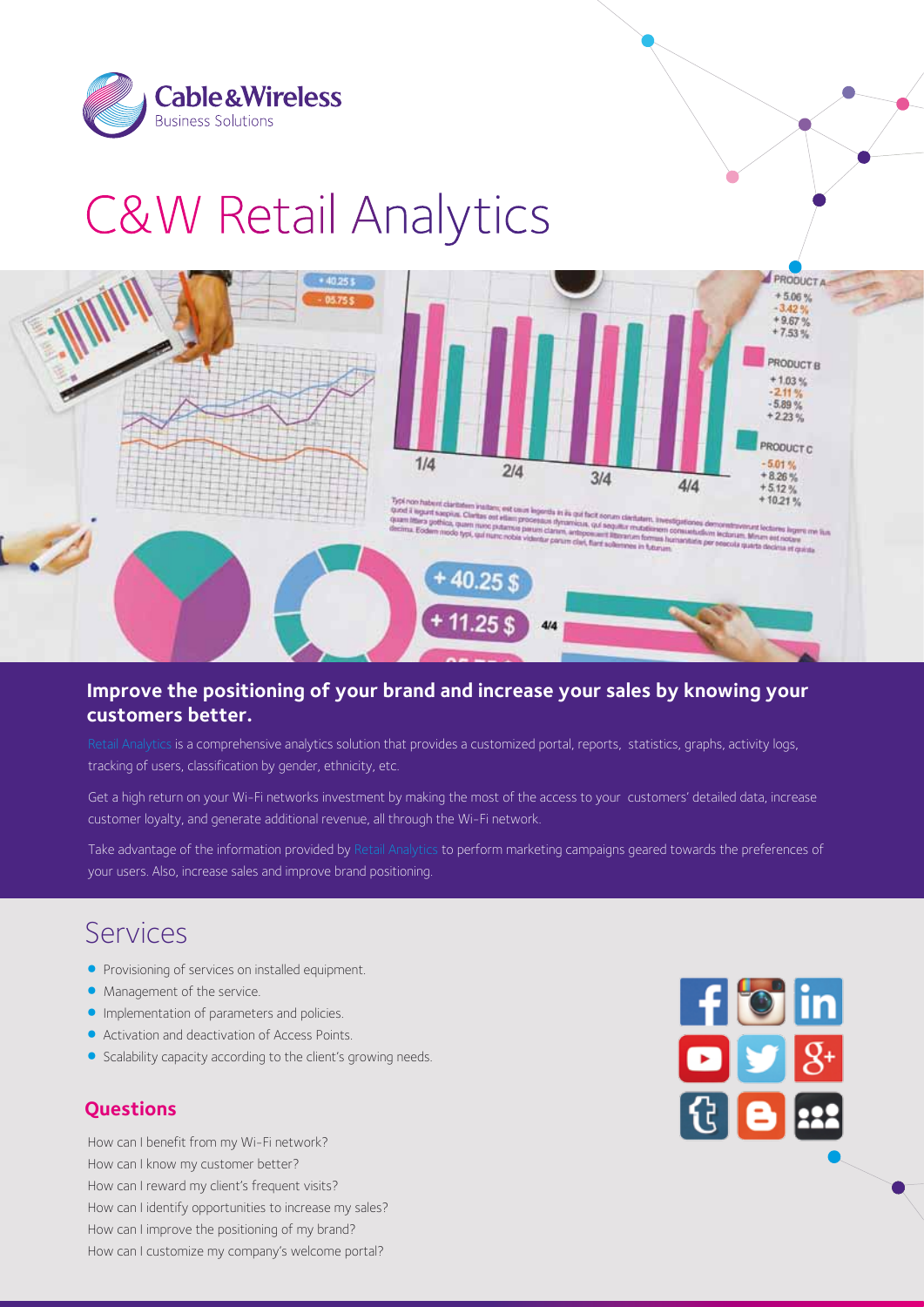

# **C&W Retail Analytics**



#### **Improve the positioning of your brand and increase your sales by knowing your customers better.**

Retail Analytics is a comprehensive analytics solution that provides a customized portal, reports, statistics, graphs, activity logs, tracking of users, classification by gender, ethnicity, etc.

Get a high return on your Wi-Fi networks investment by making the most of the access to your customers' detailed data, increase customer loyalty, and generate additional revenue, all through the Wi-Fi network.

Take advantage of the information provided by Retail Analytics to perform marketing campaigns geared towards the preferences of your users. Also, increase sales and improve brand positioning.

### Services

- Provisioning of services on installed equipment.
- Management of the service.
- Implementation of parameters and policies.
- Activation and deactivation of Access Points.
- Scalability capacity according to the client's growing needs.

#### **Questions**

How can I benefit from my Wi-Fi network? How can I know my customer better? How can I reward my client's frequent visits? How can I identify opportunities to increase my sales? How can I improve the positioning of my brand? How can I customize my company's welcome portal?